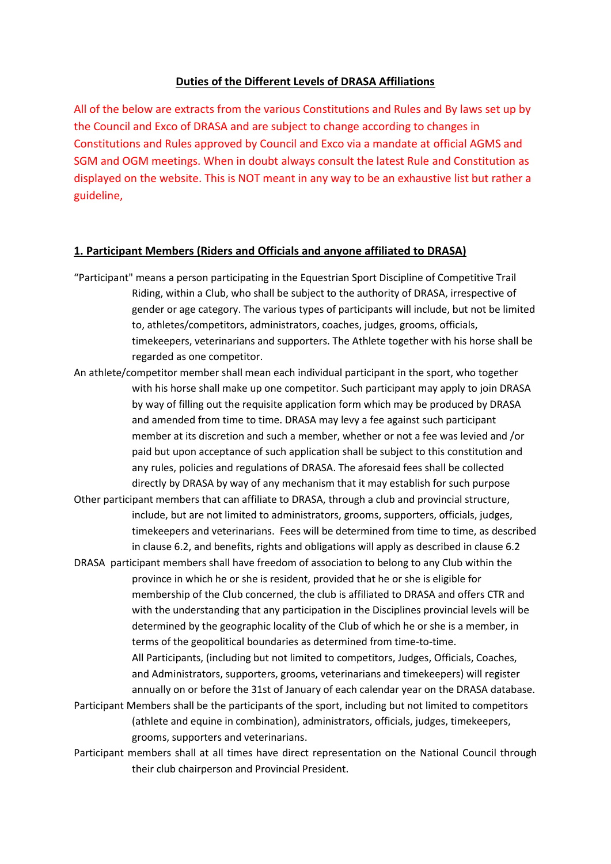#### **Duties of the Different Levels of DRASA Affiliations**

All of the below are extracts from the various Constitutions and Rules and By laws set up by the Council and Exco of DRASA and are subject to change according to changes in Constitutions and Rules approved by Council and Exco via a mandate at official AGMS and SGM and OGM meetings. When in doubt always consult the latest Rule and Constitution as displayed on the website. This is NOT meant in any way to be an exhaustive list but rather a guideline,

#### **1. Participant Members (Riders and Officials and anyone affiliated to DRASA)**

- "Participant" means a person participating in the Equestrian Sport Discipline of Competitive Trail Riding, within a Club, who shall be subject to the authority of DRASA, irrespective of gender or age category. The various types of participants will include, but not be limited to, athletes/competitors, administrators, coaches, judges, grooms, officials, timekeepers, veterinarians and supporters. The Athlete together with his horse shall be regarded as one competitor.
- An athlete/competitor member shall mean each individual participant in the sport, who together with his horse shall make up one competitor. Such participant may apply to join DRASA by way of filling out the requisite application form which may be produced by DRASA and amended from time to time. DRASA may levy a fee against such participant member at its discretion and such a member, whether or not a fee was levied and /or paid but upon acceptance of such application shall be subject to this constitution and any rules, policies and regulations of DRASA. The aforesaid fees shall be collected directly by DRASA by way of any mechanism that it may establish for such purpose
- Other participant members that can affiliate to DRASA, through a club and provincial structure, include, but are not limited to administrators, grooms, supporters, officials, judges, timekeepers and veterinarians. Fees will be determined from time to time, as described in clause 6.2, and benefits, rights and obligations will apply as described in clause 6.2
- DRASA participant members shall have freedom of association to belong to any Club within the province in which he or she is resident, provided that he or she is eligible for membership of the Club concerned, the club is affiliated to DRASA and offers CTR and with the understanding that any participation in the Disciplines provincial levels will be determined by the geographic locality of the Club of which he or she is a member, in terms of the geopolitical boundaries as determined from time-to-time. All Participants, (including but not limited to competitors, Judges, Officials, Coaches, and Administrators, supporters, grooms, veterinarians and timekeepers) will register

annually on or before the 31st of January of each calendar year on the DRASA database. Participant Members shall be the participants of the sport, including but not limited to competitors

- (athlete and equine in combination), administrators, officials, judges, timekeepers, grooms, supporters and veterinarians.
- Participant members shall at all times have direct representation on the National Council through their club chairperson and Provincial President.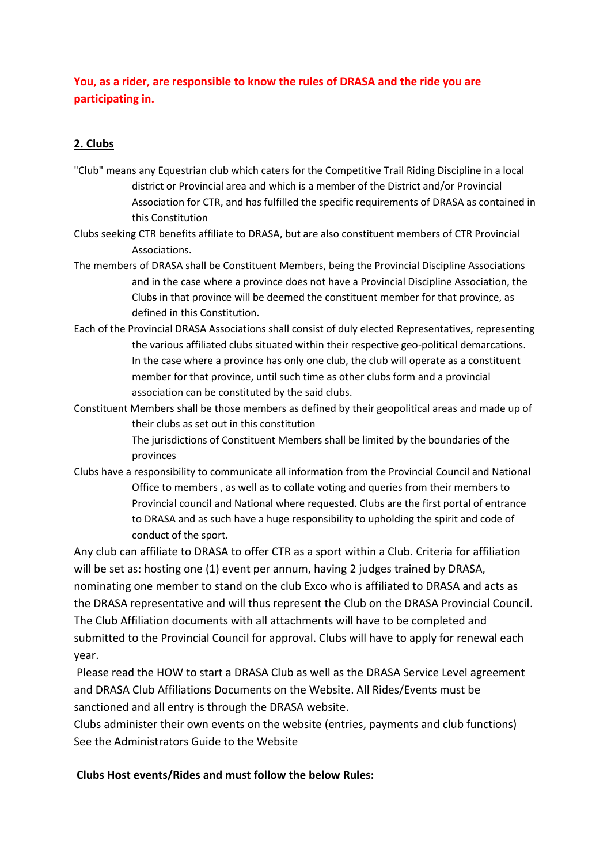## **You, as a rider, are responsible to know the rules of DRASA and the ride you are participating in.**

## **2. Clubs**

- "Club" means any Equestrian club which caters for the Competitive Trail Riding Discipline in a local district or Provincial area and which is a member of the District and/or Provincial Association for CTR, and has fulfilled the specific requirements of DRASA as contained in this Constitution
- Clubs seeking CTR benefits affiliate to DRASA, but are also constituent members of CTR Provincial Associations.
- The members of DRASA shall be Constituent Members, being the Provincial Discipline Associations and in the case where a province does not have a Provincial Discipline Association, the Clubs in that province will be deemed the constituent member for that province, as defined in this Constitution.
- Each of the Provincial DRASA Associations shall consist of duly elected Representatives, representing the various affiliated clubs situated within their respective geo-political demarcations. In the case where a province has only one club, the club will operate as a constituent member for that province, until such time as other clubs form and a provincial association can be constituted by the said clubs.
- Constituent Members shall be those members as defined by their geopolitical areas and made up of their clubs as set out in this constitution

The jurisdictions of Constituent Members shall be limited by the boundaries of the provinces

Clubs have a responsibility to communicate all information from the Provincial Council and National Office to members , as well as to collate voting and queries from their members to Provincial council and National where requested. Clubs are the first portal of entrance to DRASA and as such have a huge responsibility to upholding the spirit and code of conduct of the sport.

Any club can affiliate to DRASA to offer CTR as a sport within a Club. Criteria for affiliation will be set as: hosting one (1) event per annum, having 2 judges trained by DRASA, nominating one member to stand on the club Exco who is affiliated to DRASA and acts as the DRASA representative and will thus represent the Club on the DRASA Provincial Council. The Club Affiliation documents with all attachments will have to be completed and submitted to the Provincial Council for approval. Clubs will have to apply for renewal each year.

Please read the HOW to start a DRASA Club as well as the DRASA Service Level agreement and DRASA Club Affiliations Documents on the Website. All Rides/Events must be sanctioned and all entry is through the DRASA website.

Clubs administer their own events on the website (entries, payments and club functions) See the Administrators Guide to the Website

### **Clubs Host events/Rides and must follow the below Rules:**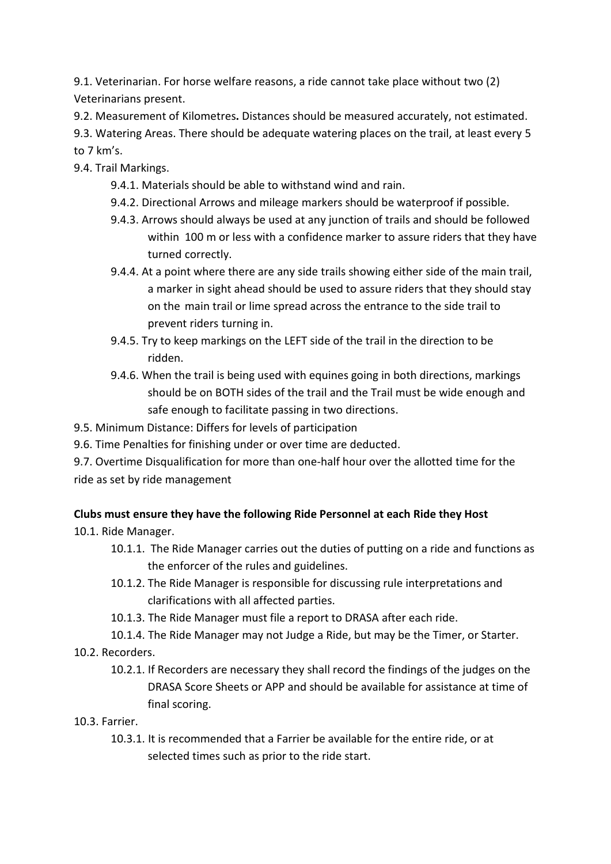9.1. Veterinarian. For horse welfare reasons, a ride cannot take place without two (2) Veterinarians present.

9.2. Measurement of Kilometres**.** Distances should be measured accurately, not estimated.

9.3. Watering Areas. There should be adequate watering places on the trail, at least every 5 to 7 km's.

9.4. Trail Markings.

- 9.4.1. Materials should be able to withstand wind and rain.
- 9.4.2. Directional Arrows and mileage markers should be waterproof if possible.
- 9.4.3. Arrows should always be used at any junction of trails and should be followed within 100 m or less with a confidence marker to assure riders that they have turned correctly.
- 9.4.4. At a point where there are any side trails showing either side of the main trail, a marker in sight ahead should be used to assure riders that they should stay on the main trail or lime spread across the entrance to the side trail to prevent riders turning in.
- 9.4.5. Try to keep markings on the LEFT side of the trail in the direction to be ridden.
- 9.4.6. When the trail is being used with equines going in both directions, markings should be on BOTH sides of the trail and the Trail must be wide enough and safe enough to facilitate passing in two directions.

9.5. Minimum Distance: Differs for levels of participation

9.6. Time Penalties for finishing under or over time are deducted.

9.7. Overtime Disqualification for more than one-half hour over the allotted time for the ride as set by ride management

# **Clubs must ensure they have the following Ride Personnel at each Ride they Host**

10.1. Ride Manager.

- 10.1.1. The Ride Manager carries out the duties of putting on a ride and functions as the enforcer of the rules and guidelines.
- 10.1.2. The Ride Manager is responsible for discussing rule interpretations and clarifications with all affected parties.
- 10.1.3. The Ride Manager must file a report to DRASA after each ride.
- 10.1.4. The Ride Manager may not Judge a Ride, but may be the Timer, or Starter.
- 10.2. Recorders.
	- 10.2.1. If Recorders are necessary they shall record the findings of the judges on the DRASA Score Sheets or APP and should be available for assistance at time of final scoring.

10.3. Farrier.

10.3.1. It is recommended that a Farrier be available for the entire ride, or at selected times such as prior to the ride start.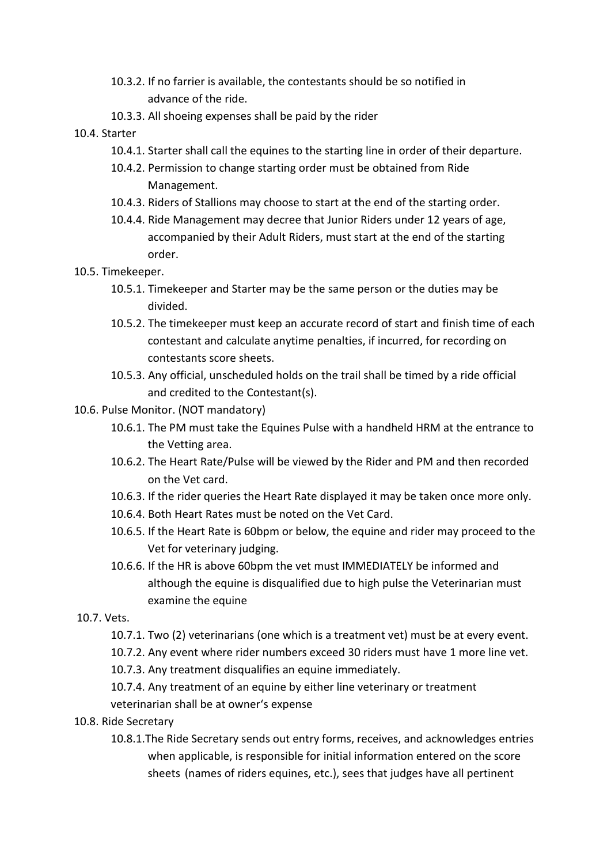- 10.3.2. If no farrier is available, the contestants should be so notified in advance of the ride.
- 10.3.3. All shoeing expenses shall be paid by the rider
- 10.4. Starter
	- 10.4.1. Starter shall call the equines to the starting line in order of their departure.
	- 10.4.2. Permission to change starting order must be obtained from Ride Management.
	- 10.4.3. Riders of Stallions may choose to start at the end of the starting order.
	- 10.4.4. Ride Management may decree that Junior Riders under 12 years of age, accompanied by their Adult Riders, must start at the end of the starting order.
- 10.5. Timekeeper.
	- 10.5.1. Timekeeper and Starter may be the same person or the duties may be divided.
	- 10.5.2. The timekeeper must keep an accurate record of start and finish time of each contestant and calculate anytime penalties, if incurred, for recording on contestants score sheets.
	- 10.5.3. Any official, unscheduled holds on the trail shall be timed by a ride official and credited to the Contestant(s).
- 10.6. Pulse Monitor. (NOT mandatory)
	- 10.6.1. The PM must take the Equines Pulse with a handheld HRM at the entrance to the Vetting area.
	- 10.6.2. The Heart Rate/Pulse will be viewed by the Rider and PM and then recorded on the Vet card.
	- 10.6.3. If the rider queries the Heart Rate displayed it may be taken once more only.
	- 10.6.4. Both Heart Rates must be noted on the Vet Card.
	- 10.6.5. If the Heart Rate is 60bpm or below, the equine and rider may proceed to the Vet for veterinary judging.
	- 10.6.6. If the HR is above 60bpm the vet must IMMEDIATELY be informed and although the equine is disqualified due to high pulse the Veterinarian must examine the equine
- 10.7. Vets.
	- 10.7.1. Two (2) veterinarians (one which is a treatment vet) must be at every event.
	- 10.7.2. Any event where rider numbers exceed 30 riders must have 1 more line vet.
	- 10.7.3. Any treatment disqualifies an equine immediately.
	- 10.7.4. Any treatment of an equine by either line veterinary or treatment veterinarian shall be at owner's expense
- 10.8. Ride Secretary
	- 10.8.1.The Ride Secretary sends out entry forms, receives, and acknowledges entries when applicable, is responsible for initial information entered on the score sheets (names of riders equines, etc.), sees that judges have all pertinent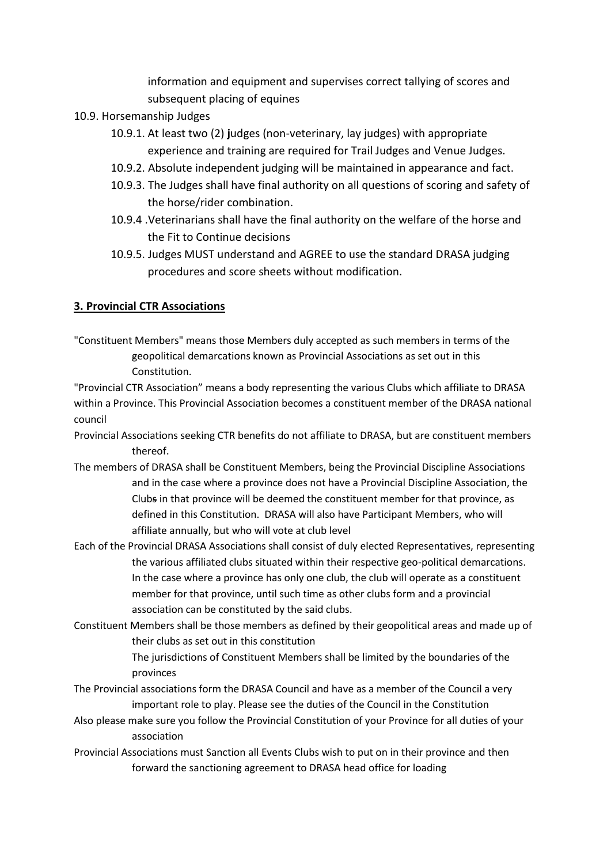information and equipment and supervises correct tallying of scores and subsequent placing of equines

- 10.9. Horsemanship Judges
	- 10.9.1. At least two (2) **j**udges (non-veterinary, lay judges) with appropriate experience and training are required for Trail Judges and Venue Judges.
	- 10.9.2. Absolute independent judging will be maintained in appearance and fact.
	- 10.9.3. The Judges shall have final authority on all questions of scoring and safety of the horse/rider combination.
	- 10.9.4 .Veterinarians shall have the final authority on the welfare of the horse and the Fit to Continue decisions
	- 10.9.5. Judges MUST understand and AGREE to use the standard DRASA judging procedures and score sheets without modification.

### **3. Provincial CTR Associations**

"Constituent Members" means those Members duly accepted as such members in terms of the geopolitical demarcations known as Provincial Associations as set out in this Constitution.

"Provincial CTR Association" means a body representing the various Clubs which affiliate to DRASA within a Province. This Provincial Association becomes a constituent member of the DRASA national council

- Provincial Associations seeking CTR benefits do not affiliate to DRASA, but are constituent members thereof.
- The members of DRASA shall be Constituent Members, being the Provincial Discipline Associations and in the case where a province does not have a Provincial Discipline Association, the Clubs in that province will be deemed the constituent member for that province, as defined in this Constitution. DRASA will also have Participant Members, who will affiliate annually, but who will vote at club level
- Each of the Provincial DRASA Associations shall consist of duly elected Representatives, representing the various affiliated clubs situated within their respective geo-political demarcations. In the case where a province has only one club, the club will operate as a constituent member for that province, until such time as other clubs form and a provincial association can be constituted by the said clubs.
- Constituent Members shall be those members as defined by their geopolitical areas and made up of their clubs as set out in this constitution

The jurisdictions of Constituent Members shall be limited by the boundaries of the provinces

- The Provincial associations form the DRASA Council and have as a member of the Council a very important role to play. Please see the duties of the Council in the Constitution
- Also please make sure you follow the Provincial Constitution of your Province for all duties of your association
- Provincial Associations must Sanction all Events Clubs wish to put on in their province and then forward the sanctioning agreement to DRASA head office for loading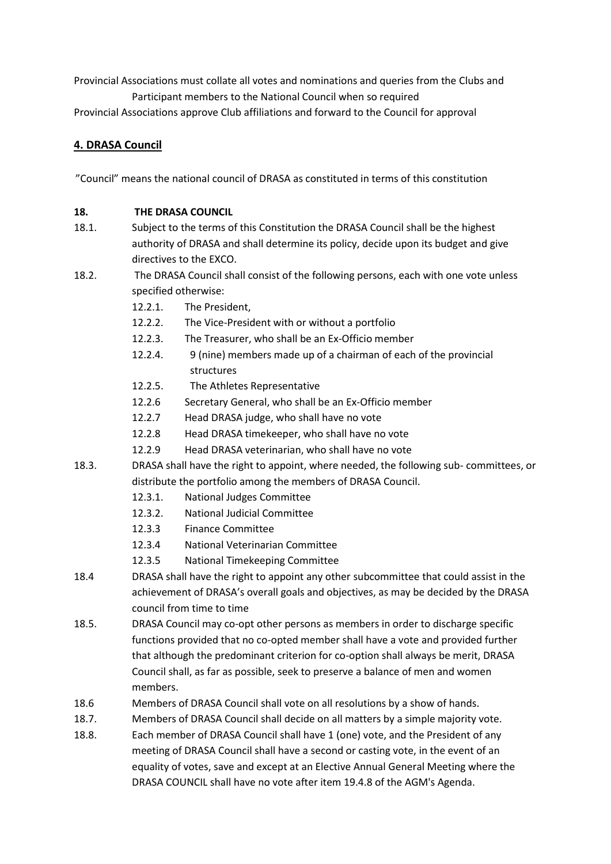Provincial Associations must collate all votes and nominations and queries from the Clubs and Participant members to the National Council when so required

Provincial Associations approve Club affiliations and forward to the Council for approval

### **4. DRASA Council**

"Council" means the national council of DRASA as constituted in terms of this constitution

### **18. THE DRASA COUNCIL**

- 18.1. Subject to the terms of this Constitution the DRASA Council shall be the highest authority of DRASA and shall determine its policy, decide upon its budget and give directives to the EXCO.
- 18.2. The DRASA Council shall consist of the following persons, each with one vote unless specified otherwise:
	- 12.2.1. The President,
	- 12.2.2. The Vice-President with or without a portfolio
	- 12.2.3. The Treasurer, who shall be an Ex-Officio member
	- 12.2.4. 9 (nine) members made up of a chairman of each of the provincial structures
	- 12.2.5. The Athletes Representative
	- 12.2.6 Secretary General, who shall be an Ex-Officio member
	- 12.2.7 Head DRASA judge, who shall have no vote
	- 12.2.8 Head DRASA timekeeper, who shall have no vote
	- 12.2.9 Head DRASA veterinarian, who shall have no vote
- 18.3. DRASA shall have the right to appoint, where needed, the following sub- committees, or distribute the portfolio among the members of DRASA Council.
	- 12.3.1. National Judges Committee
	- 12.3.2. National Judicial Committee
	- 12.3.3 Finance Committee
	- 12.3.4 National Veterinarian Committee
	- 12.3.5 National Timekeeping Committee
- 18.4 DRASA shall have the right to appoint any other subcommittee that could assist in the achievement of DRASA's overall goals and objectives, as may be decided by the DRASA council from time to time
- 18.5. DRASA Council may co-opt other persons as members in order to discharge specific functions provided that no co-opted member shall have a vote and provided further that although the predominant criterion for co-option shall always be merit, DRASA Council shall, as far as possible, seek to preserve a balance of men and women members.
- 18.6 Members of DRASA Council shall vote on all resolutions by a show of hands.
- 18.7. Members of DRASA Council shall decide on all matters by a simple majority vote.
- 18.8. Each member of DRASA Council shall have 1 (one) vote, and the President of any meeting of DRASA Council shall have a second or casting vote, in the event of an equality of votes, save and except at an Elective Annual General Meeting where the DRASA COUNCIL shall have no vote after item 19.4.8 of the AGM's Agenda.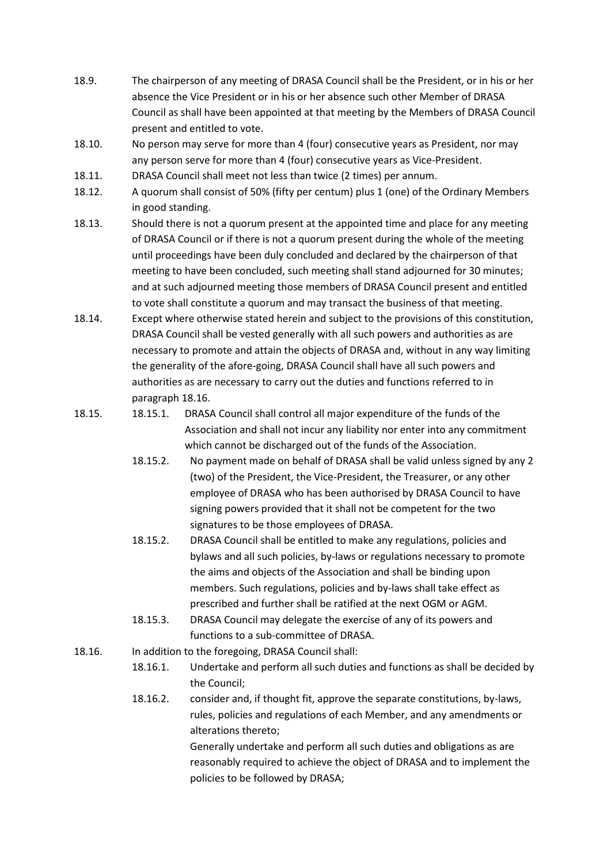- 18.9. The chairperson of any meeting of DRASA Council shall be the President, or in his or her absence the Vice President or in his or her absence such other Member of DRASA Council as shall have been appointed at that meeting by the Members of DRASA Council present and entitled to vote.
- 18.10. No person may serve for more than 4 (four) consecutive years as President, nor may any person serve for more than 4 (four) consecutive years as Vice-President.
- 18.11. DRASA Council shall meet not less than twice (2 times) per annum.
- 18.12. A quorum shall consist of 50% (fifty per centum) plus 1 (one) of the Ordinary Members in good standing.
- 18.13. Should there is not a quorum present at the appointed time and place for any meeting of DRASA Council or if there is not a quorum present during the whole of the meeting until proceedings have been duly concluded and declared by the chairperson of that meeting to have been concluded, such meeting shall stand adjourned for 30 minutes; and at such adjourned meeting those members of DRASA Council present and entitled to vote shall constitute a quorum and may transact the business of that meeting.
- 18.14. Except where otherwise stated herein and subject to the provisions of this constitution, DRASA Council shall be vested generally with all such powers and authorities as are necessary to promote and attain the objects of DRASA and, without in any way limiting the generality of the afore-going, DRASA Council shall have all such powers and authorities as are necessary to carry out the duties and functions referred to in paragraph 18.16.
- 18.15. 18.15.1. DRASA Council shall control all major expenditure of the funds of the Association and shall not incur any liability nor enter into any commitment which cannot be discharged out of the funds of the Association.
	- 18.15.2. No payment made on behalf of DRASA shall be valid unless signed by any 2 (two) of the President, the Vice-President, the Treasurer, or any other employee of DRASA who has been authorised by DRASA Council to have signing powers provided that it shall not be competent for the two signatures to be those employees of DRASA.
	- 18.15.2. DRASA Council shall be entitled to make any regulations, policies and bylaws and all such policies, by-laws or regulations necessary to promote the aims and objects of the Association and shall be binding upon members. Such regulations, policies and by-laws shall take effect as prescribed and further shall be ratified at the next OGM or AGM.
	- 18.15.3. DRASA Council may delegate the exercise of any of its powers and functions to a sub-committee of DRASA.
- 18.16. In addition to the foregoing, DRASA Council shall:
	- 18.16.1. Undertake and perform all such duties and functions as shall be decided by the Council;
	- 18.16.2. consider and, if thought fit, approve the separate constitutions, by-laws, rules, policies and regulations of each Member, and any amendments or alterations thereto;

Generally undertake and perform all such duties and obligations as are reasonably required to achieve the object of DRASA and to implement the policies to be followed by DRASA;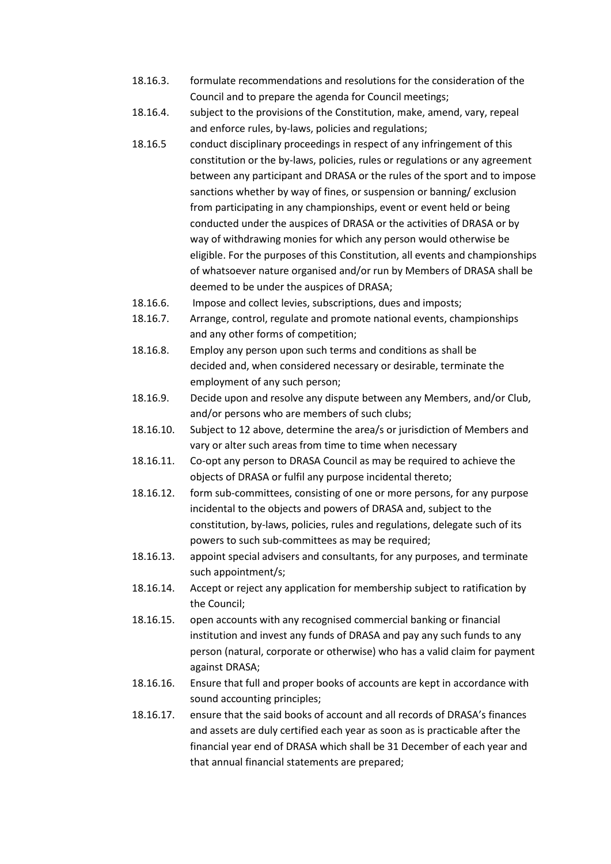- 18.16.3. formulate recommendations and resolutions for the consideration of the Council and to prepare the agenda for Council meetings;
- 18.16.4. subject to the provisions of the Constitution, make, amend, vary, repeal and enforce rules, by-laws, policies and regulations;
- 18.16.5 conduct disciplinary proceedings in respect of any infringement of this constitution or the by-laws, policies, rules or regulations or any agreement between any participant and DRASA or the rules of the sport and to impose sanctions whether by way of fines, or suspension or banning/ exclusion from participating in any championships, event or event held or being conducted under the auspices of DRASA or the activities of DRASA or by way of withdrawing monies for which any person would otherwise be eligible. For the purposes of this Constitution, all events and championships of whatsoever nature organised and/or run by Members of DRASA shall be deemed to be under the auspices of DRASA;
- 18.16.6. Impose and collect levies, subscriptions, dues and imposts;
- 18.16.7. Arrange, control, regulate and promote national events, championships and any other forms of competition;
- 18.16.8. Employ any person upon such terms and conditions as shall be decided and, when considered necessary or desirable, terminate the employment of any such person;
- 18.16.9. Decide upon and resolve any dispute between any Members, and/or Club, and/or persons who are members of such clubs;
- 18.16.10. Subject to 12 above, determine the area/s or jurisdiction of Members and vary or alter such areas from time to time when necessary
- 18.16.11. Co-opt any person to DRASA Council as may be required to achieve the objects of DRASA or fulfil any purpose incidental thereto;
- 18.16.12. form sub-committees, consisting of one or more persons, for any purpose incidental to the objects and powers of DRASA and, subject to the constitution, by-laws, policies, rules and regulations, delegate such of its powers to such sub-committees as may be required;
- 18.16.13. appoint special advisers and consultants, for any purposes, and terminate such appointment/s;
- 18.16.14. Accept or reject any application for membership subject to ratification by the Council;
- 18.16.15. open accounts with any recognised commercial banking or financial institution and invest any funds of DRASA and pay any such funds to any person (natural, corporate or otherwise) who has a valid claim for payment against DRASA;
- 18.16.16. Ensure that full and proper books of accounts are kept in accordance with sound accounting principles;
- 18.16.17. ensure that the said books of account and all records of DRASA's finances and assets are duly certified each year as soon as is practicable after the financial year end of DRASA which shall be 31 December of each year and that annual financial statements are prepared;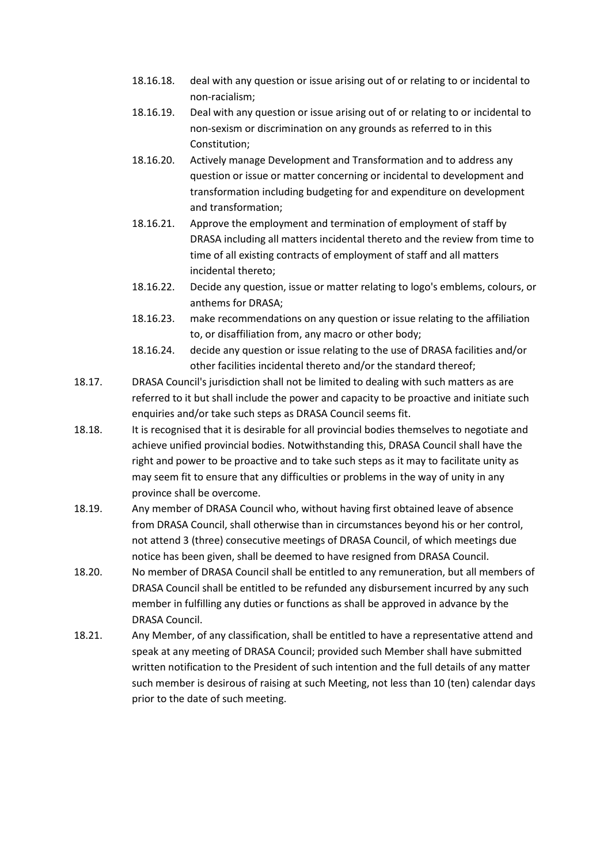- 18.16.18. deal with any question or issue arising out of or relating to or incidental to non-racialism;
- 18.16.19. Deal with any question or issue arising out of or relating to or incidental to non-sexism or discrimination on any grounds as referred to in this Constitution;
- 18.16.20. Actively manage Development and Transformation and to address any question or issue or matter concerning or incidental to development and transformation including budgeting for and expenditure on development and transformation;
- 18.16.21. Approve the employment and termination of employment of staff by DRASA including all matters incidental thereto and the review from time to time of all existing contracts of employment of staff and all matters incidental thereto;
- 18.16.22. Decide any question, issue or matter relating to logo's emblems, colours, or anthems for DRASA;
- 18.16.23. make recommendations on any question or issue relating to the affiliation to, or disaffiliation from, any macro or other body;
- 18.16.24. decide any question or issue relating to the use of DRASA facilities and/or other facilities incidental thereto and/or the standard thereof;
- 18.17. DRASA Council's jurisdiction shall not be limited to dealing with such matters as are referred to it but shall include the power and capacity to be proactive and initiate such enquiries and/or take such steps as DRASA Council seems fit.
- 18.18. It is recognised that it is desirable for all provincial bodies themselves to negotiate and achieve unified provincial bodies. Notwithstanding this, DRASA Council shall have the right and power to be proactive and to take such steps as it may to facilitate unity as may seem fit to ensure that any difficulties or problems in the way of unity in any province shall be overcome.
- 18.19. Any member of DRASA Council who, without having first obtained leave of absence from DRASA Council, shall otherwise than in circumstances beyond his or her control, not attend 3 (three) consecutive meetings of DRASA Council, of which meetings due notice has been given, shall be deemed to have resigned from DRASA Council.
- 18.20. No member of DRASA Council shall be entitled to any remuneration, but all members of DRASA Council shall be entitled to be refunded any disbursement incurred by any such member in fulfilling any duties or functions as shall be approved in advance by the DRASA Council.
- 18.21. Any Member, of any classification, shall be entitled to have a representative attend and speak at any meeting of DRASA Council; provided such Member shall have submitted written notification to the President of such intention and the full details of any matter such member is desirous of raising at such Meeting, not less than 10 (ten) calendar days prior to the date of such meeting.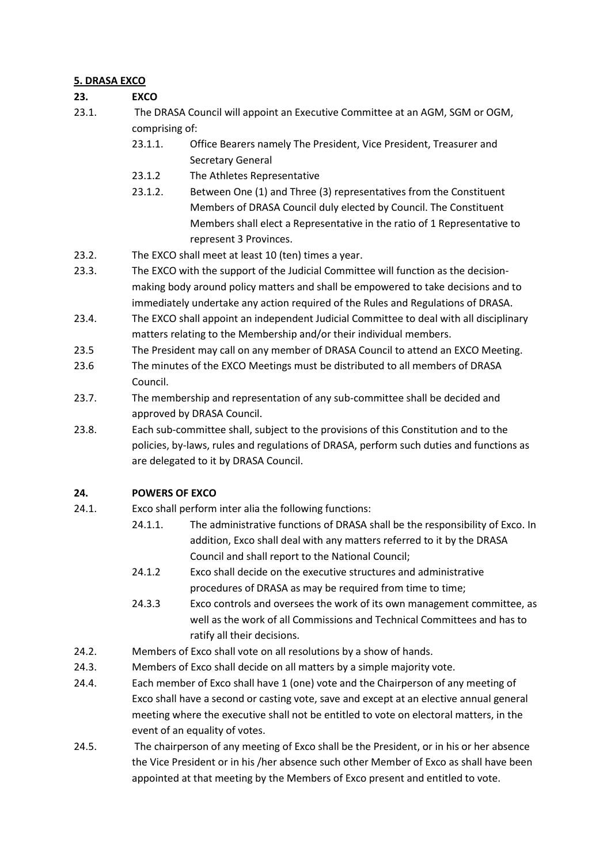### **5. DRASA EXCO**

### **23. EXCO**

- 23.1. The DRASA Council will appoint an Executive Committee at an AGM, SGM or OGM, comprising of:
	- 23.1.1. Office Bearers namely The President, Vice President, Treasurer and Secretary General
	- 23.1.2 The Athletes Representative
	- 23.1.2. Between One (1) and Three (3) representatives from the Constituent Members of DRASA Council duly elected by Council. The Constituent Members shall elect a Representative in the ratio of 1 Representative to represent 3 Provinces.
- 23.2. The EXCO shall meet at least 10 (ten) times a year.
- 23.3. The EXCO with the support of the Judicial Committee will function as the decisionmaking body around policy matters and shall be empowered to take decisions and to immediately undertake any action required of the Rules and Regulations of DRASA.
- 23.4. The EXCO shall appoint an independent Judicial Committee to deal with all disciplinary matters relating to the Membership and/or their individual members.
- 23.5 The President may call on any member of DRASA Council to attend an EXCO Meeting.
- 23.6 The minutes of the EXCO Meetings must be distributed to all members of DRASA Council.
- 23.7. The membership and representation of any sub-committee shall be decided and approved by DRASA Council.
- 23.8. Each sub-committee shall, subject to the provisions of this Constitution and to the policies, by-laws, rules and regulations of DRASA, perform such duties and functions as are delegated to it by DRASA Council.

### **24. POWERS OF EXCO**

- 24.1. Exco shall perform inter alia the following functions:
	- 24.1.1. The administrative functions of DRASA shall be the responsibility of Exco. In addition, Exco shall deal with any matters referred to it by the DRASA Council and shall report to the National Council;
	- 24.1.2 Exco shall decide on the executive structures and administrative procedures of DRASA as may be required from time to time;
	- 24.3.3 Exco controls and oversees the work of its own management committee, as well as the work of all Commissions and Technical Committees and has to ratify all their decisions.
- 24.2. Members of Exco shall vote on all resolutions by a show of hands.
- 24.3. Members of Exco shall decide on all matters by a simple majority vote.
- 24.4. Each member of Exco shall have 1 (one) vote and the Chairperson of any meeting of Exco shall have a second or casting vote, save and except at an elective annual general meeting where the executive shall not be entitled to vote on electoral matters, in the event of an equality of votes.
- 24.5. The chairperson of any meeting of Exco shall be the President, or in his or her absence the Vice President or in his /her absence such other Member of Exco as shall have been appointed at that meeting by the Members of Exco present and entitled to vote.